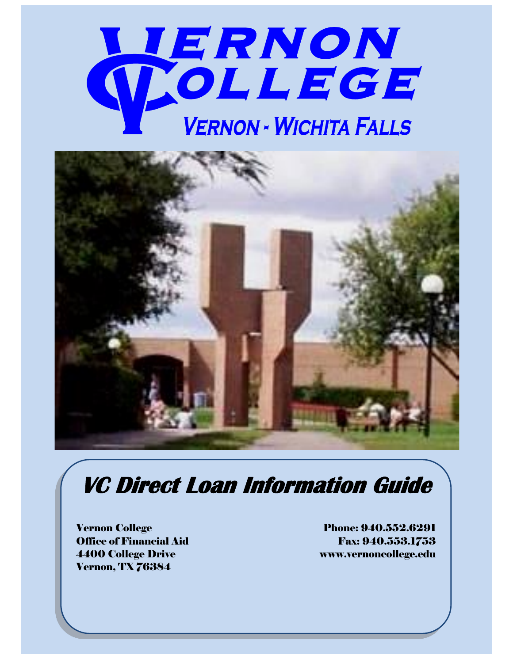



## **VC Direct Loan Information Guide**

Vernon, TX 76384

Vernon College Phone: 940.552.6291 Office of Financial Aid  $\Gamma$  Fax: 940.553.1753 4400 College Drive www.vernoncollege.edu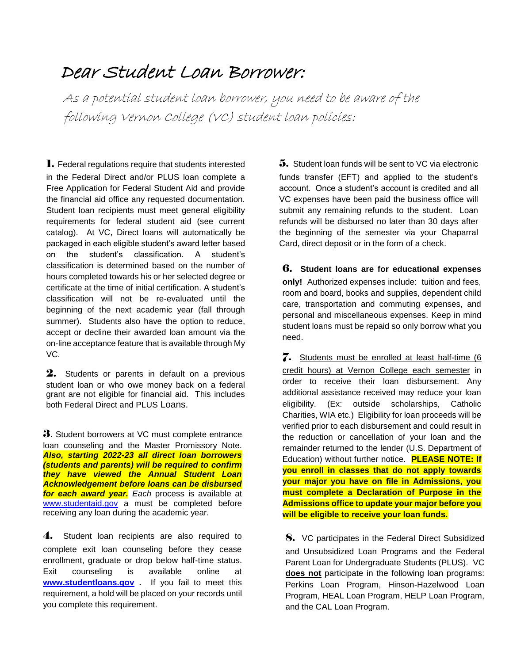## Dear Student Loan Borrower:

 As a potential student loan borrower, you need to be aware of the following Vernon College (VC) student loan policies:

1. Federal regulations require that students interested in the Federal Direct and/or PLUS loan complete a Free Application for Federal Student Aid and provide the financial aid office any requested documentation. Student loan recipients must meet general eligibility requirements for federal student aid (see current catalog). At VC, Direct loans will automatically be packaged in each eligible student's award letter based on the student's classification. A student's classification is determined based on the number of hours completed towards his or her selected degree or certificate at the time of initial certification. A student's classification will not be re-evaluated until the beginning of the next academic year (fall through summer). Students also have the option to reduce, accept or decline their awarded loan amount via the on-line acceptance feature that is available through My VC.

2. Students or parents in default on a previous student loan or who owe money back on a federal grant are not eligible for financial aid. This includes both Federal Direct and PLUS Loans.

**3.** Student borrowers at VC must complete entrance loan counseling and the Master Promissory Note. *Also, starting 2022-23 all direct loan borrowers (students and parents) will be required to confirm they have viewed the Annual Student Loan Acknowledgement before loans can be disbursed for each award year. Each* process is available at [www.studentaid.gov](http://www.studentaid.gov/) a must be completed before receiving any loan during the academic year.

4. Student loan recipients are also required to complete exit loan counseling before they cease enrollment, graduate or drop below half-time status. Exit counseling is available online at **[www.studentloans.gov](http://www.studentloans.gov/) .** If you fail to meet this requirement, a hold will be placed on your records until you complete this requirement.

5. Student loan funds will be sent to VC via electronic funds transfer (EFT) and applied to the student's account. Once a student's account is credited and all VC expenses have been paid the business office will submit any remaining refunds to the student. Loan refunds will be disbursed no later than 30 days after the beginning of the semester via your Chaparral Card, direct deposit or in the form of a check.

6. **Student loans are for educational expenses only!** Authorized expenses include: tuition and fees, room and board, books and supplies, dependent child care, transportation and commuting expenses, and personal and miscellaneous expenses. Keep in mind student loans must be repaid so only borrow what you need.

7. Students must be enrolled at least half-time (6 credit hours) at Vernon College each semester in order to receive their loan disbursement. Any additional assistance received may reduce your loan eligibility. (Ex: outside scholarships, Catholic Charities, WIA etc.) Eligibility for loan proceeds will be verified prior to each disbursement and could result in the reduction or cancellation of your loan and the remainder returned to the lender (U.S. Department of Education) without further notice. **PLEASE NOTE: If you enroll in classes that do not apply towards your major you have on file in Admissions, you must complete a Declaration of Purpose in the Admissions office to update your major before you will be eligible to receive your loan funds.**

8. VC participates in the Federal Direct Subsidized and Unsubsidized Loan Programs and the Federal Parent Loan for Undergraduate Students (PLUS). VC **does not** participate in the following loan programs: Perkins Loan Program, Hinson-Hazelwood Loan Program, HEAL Loan Program, HELP Loan Program, and the CAL Loan Program.